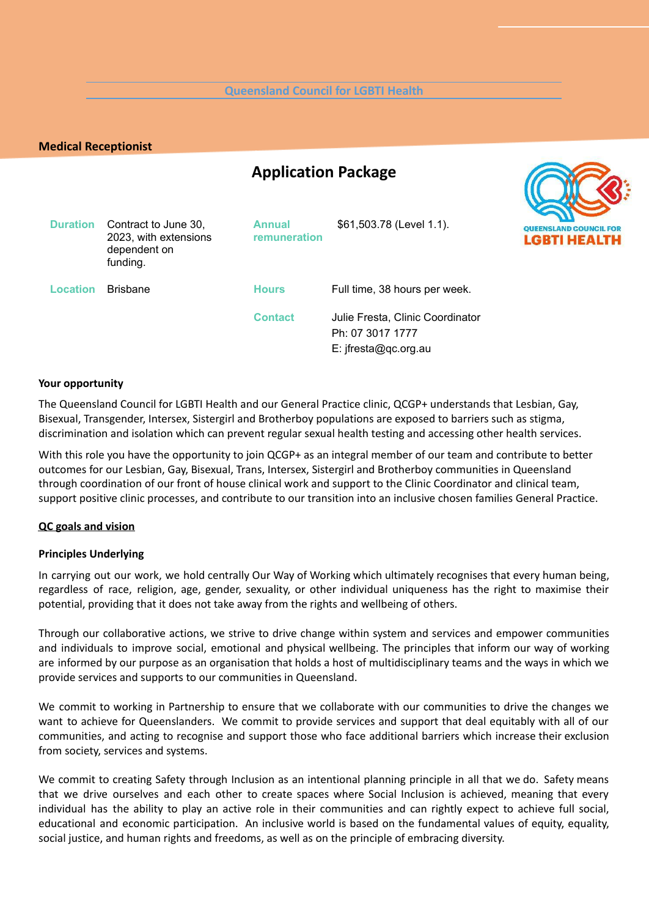#### **Queensland Council for LGBTI Health**

## **Medical Receptionist**

# **Application Package**



| <b>Duration</b> | Contract to June 30,<br>2023, with extensions<br>dependent on<br>funding. | <b>Annual</b><br>remuneration | \$61,503.78 (Level 1.1).                                                     | QUEEN<br>LGE |
|-----------------|---------------------------------------------------------------------------|-------------------------------|------------------------------------------------------------------------------|--------------|
| <b>Location</b> | <b>Brisbane</b>                                                           | <b>Hours</b>                  | Full time, 38 hours per week.                                                |              |
|                 |                                                                           | <b>Contact</b>                | Julie Fresta, Clinic Coordinator<br>Ph: 07 3017 1777<br>E: jfresta@qc.org.au |              |

#### **Your opportunity**

The Queensland Council for LGBTI Health and our General Practice clinic, QCGP+ understands that Lesbian, Gay, Bisexual, Transgender, Intersex, Sistergirl and Brotherboy populations are exposed to barriers such as stigma, discrimination and isolation which can prevent regular sexual health testing and accessing other health services.

With this role you have the opportunity to join QCGP+ as an integral member of our team and contribute to better outcomes for our Lesbian, Gay, Bisexual, Trans, Intersex, Sistergirl and Brotherboy communities in Queensland through coordination of our front of house clinical work and support to the Clinic Coordinator and clinical team, support positive clinic processes, and contribute to our transition into an inclusive chosen families General Practice.

#### **QC goals and [vision](http://www.psc.qld.gov.au/about-us/about-the-public-service.aspxhttp:/www.psc.qld.gov.au/about-us/about-the-public-service.aspx)**

#### **Principles Underlying**

In carrying out our work, we hold centrally Our Way of Working which ultimately recognises that every human being, regardless of race, religion, age, gender, sexuality, or other individual uniqueness has the right to maximise their potential, providing that it does not take away from the rights and wellbeing of others.

Through our collaborative actions, we strive to drive change within system and services and empower communities and individuals to improve social, emotional and physical wellbeing. The principles that inform our way of working are informed by our purpose as an organisation that holds a host of multidisciplinary teams and the ways in which we provide services and supports to our communities in Queensland.

We commit to working in Partnership to ensure that we collaborate with our communities to drive the changes we want to achieve for Queenslanders. We commit to provide services and support that deal equitably with all of our communities, and acting to recognise and support those who face additional barriers which increase their exclusion from society, services and systems.

We commit to creating Safety through Inclusion as an intentional planning principle in all that we do. Safety means that we drive ourselves and each other to create spaces where Social Inclusion is achieved, meaning that every individual has the ability to play an active role in their communities and can rightly expect to achieve full social, educational and economic participation. An inclusive world is based on the fundamental values of equity, equality, social justice, and human rights and freedoms, as well as on the principle of embracing diversity.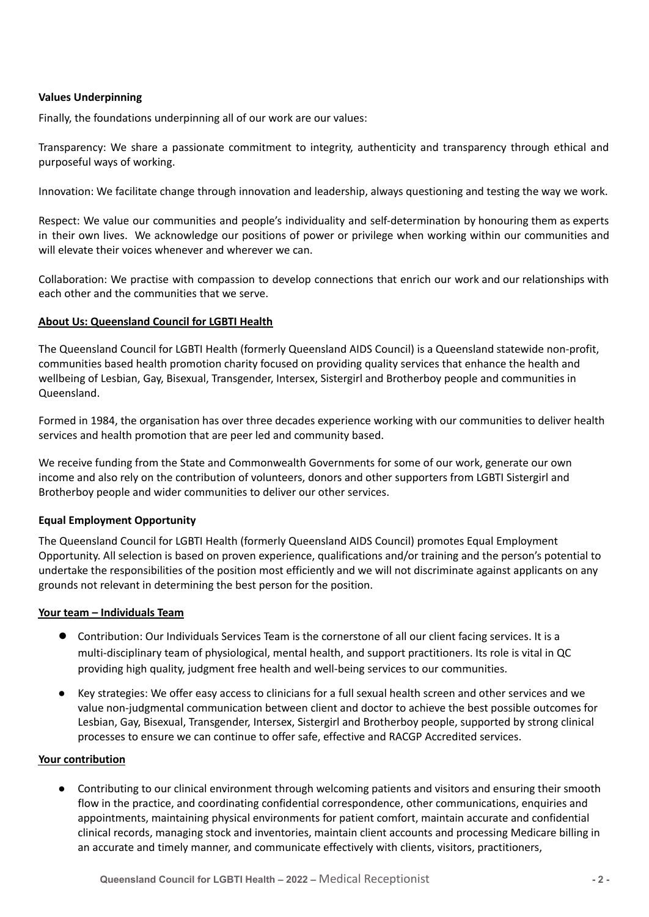## **Values Underpinning**

Finally, the foundations underpinning all of our work are our values:

Transparency: We share a passionate commitment to integrity, authenticity and transparency through ethical and purposeful ways of working.

Innovation: We facilitate change through innovation and leadership, always questioning and testing the way we work.

Respect: We value our communities and people's individuality and self-determination by honouring them as experts in their own lives. We acknowledge our positions of power or privilege when working within our communities and will elevate their voices whenever and wherever we can.

Collaboration: We practise with compassion to develop connections that enrich our work and our relationships with each other and the communities that we serve.

## **About Us: Queensland Council for LGBTI Health**

The Queensland Council for LGBTI Health (formerly Queensland AIDS Council) is a Queensland statewide non-profit, communities based health promotion charity focused on providing quality services that enhance the health and wellbeing of Lesbian, Gay, Bisexual, Transgender, Intersex, Sistergirl and Brotherboy people and communities in Queensland.

Formed in 1984, the organisation has over three decades experience working with our communities to deliver health services and health promotion that are peer led and community based.

We receive funding from the State and Commonwealth Governments for some of our work, generate our own income and also rely on the contribution of volunteers, donors and other supporters from LGBTI Sistergirl and Brotherboy people and wider communities to deliver our other services.

## **Equal Employment Opportunity**

The Queensland Council for LGBTI Health (formerly Queensland AIDS Council) promotes Equal Employment Opportunity. All selection is based on proven experience, qualifications and/or training and the person's potential to undertake the responsibilities of the position most efficiently and we will not discriminate against applicants on any grounds not relevant in determining the best person for the position.

## **Your team – Individuals Team**

- Contribution: Our Individuals Services Team is the cornerstone of all our client facing services. It is a multi-disciplinary team of physiological, mental health, and support practitioners. Its role is vital in QC providing high quality, judgment free health and well-being services to our communities.
- Key strategies: We offer easy access to clinicians for a full sexual health screen and other services and we value non-judgmental communication between client and doctor to achieve the best possible outcomes for Lesbian, Gay, Bisexual, Transgender, Intersex, Sistergirl and Brotherboy people, supported by strong clinical processes to ensure we can continue to offer safe, effective and RACGP Accredited services.

## **Your contribution**

● Contributing to our clinical environment through welcoming patients and visitors and ensuring their smooth flow in the practice, and coordinating confidential correspondence, other communications, enquiries and appointments, maintaining physical environments for patient comfort, maintain accurate and confidential clinical records, managing stock and inventories, maintain client accounts and processing Medicare billing in an accurate and timely manner, and communicate effectively with clients, visitors, practitioners,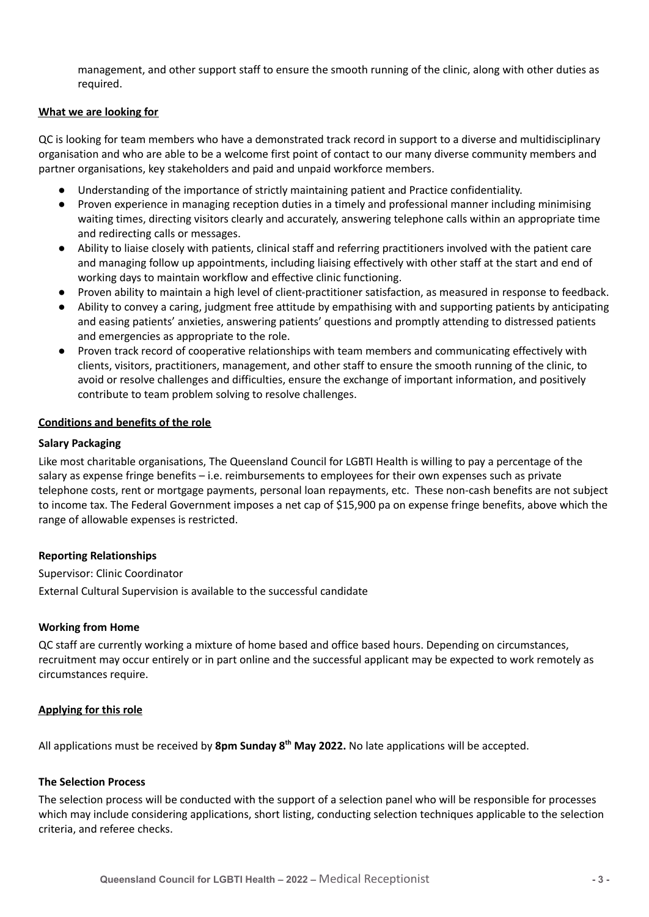management, and other support staff to ensure the smooth running of the clinic, along with other duties as required.

## **What we are looking for**

QC is looking for team members who have a demonstrated track record in support to a diverse and multidisciplinary organisation and who are able to be a welcome first point of contact to our many diverse community members and partner organisations, key stakeholders and paid and unpaid workforce members.

- Understanding of the importance of strictly maintaining patient and Practice confidentiality.
- Proven experience in managing reception duties in a timely and professional manner including minimising waiting times, directing visitors clearly and accurately, answering telephone calls within an appropriate time and redirecting calls or messages.
- Ability to liaise closely with patients, clinical staff and referring practitioners involved with the patient care and managing follow up appointments, including liaising effectively with other staff at the start and end of working days to maintain workflow and effective clinic functioning.
- Proven ability to maintain a high level of client-practitioner satisfaction, as measured in response to feedback.
- Ability to convey a caring, judgment free attitude by empathising with and supporting patients by anticipating and easing patients' anxieties, answering patients' questions and promptly attending to distressed patients and emergencies as appropriate to the role.
- Proven track record of cooperative relationships with team members and communicating effectively with clients, visitors, practitioners, management, and other staff to ensure the smooth running of the clinic, to avoid or resolve challenges and difficulties, ensure the exchange of important information, and positively contribute to team problem solving to resolve challenges.

## **Conditions and benefits of the role**

## **Salary Packaging**

Like most charitable organisations, The Queensland Council for LGBTI Health is willing to pay a percentage of the salary as expense fringe benefits – i.e. reimbursements to employees for their own expenses such as private telephone costs, rent or mortgage payments, personal loan repayments, etc. These non-cash benefits are not subject to income tax. The Federal Government imposes a net cap of \$15,900 pa on expense fringe benefits, above which the range of allowable expenses is restricted.

## **Reporting Relationships**

Supervisor: Clinic Coordinator

External Cultural Supervision is available to the successful candidate

## **Working from Home**

QC staff are currently working a mixture of home based and office based hours. Depending on circumstances, recruitment may occur entirely or in part online and the successful applicant may be expected to work remotely as circumstances require.

## **Applying for this role**

All applications must be received by **8pm Sunday 8 th May 2022.** No late applications will be accepted.

## **The Selection Process**

The selection process will be conducted with the support of a selection panel who will be responsible for processes which may include considering applications, short listing, conducting selection techniques applicable to the selection criteria, and referee checks.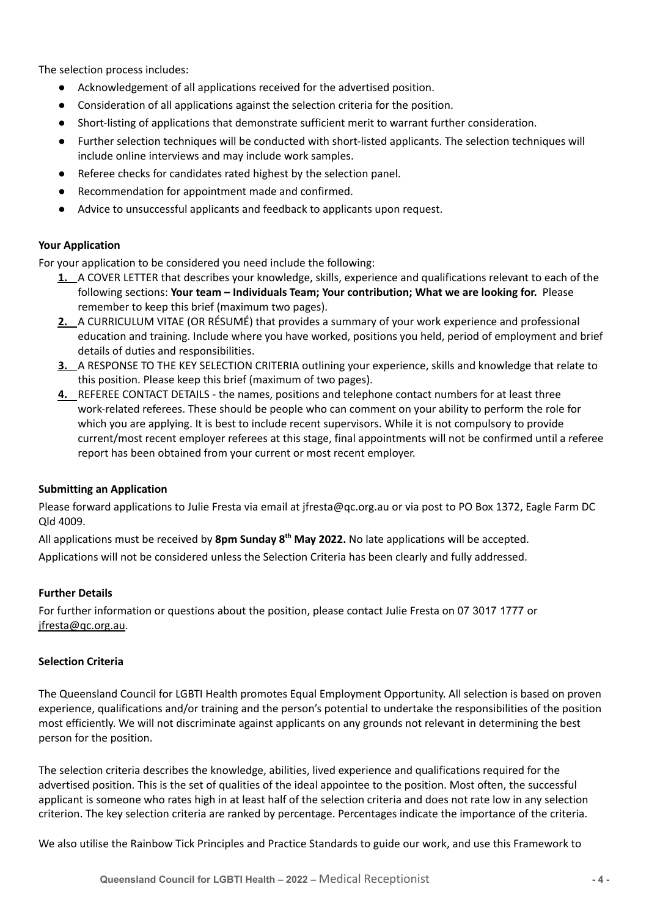The selection process includes:

- Acknowledgement of all applications received for the advertised position.
- Consideration of all applications against the selection criteria for the position.
- Short-listing of applications that demonstrate sufficient merit to warrant further consideration.
- Further selection techniques will be conducted with short-listed applicants. The selection techniques will include online interviews and may include work samples.
- Referee checks for candidates rated highest by the selection panel.
- Recommendation for appointment made and confirmed.
- Advice to unsuccessful applicants and feedback to applicants upon request.

# **Your Application**

For your application to be considered you need include the following:

- **1.** A COVER LETTER that describes your knowledge, skills, experience and qualifications relevant to each of the following sections: **Your team – Individuals Team; Your contribution; What we are looking for.** Please remember to keep this brief (maximum two pages).
- **2.** A CURRICULUM VITAE (OR RÉSUMÉ) that provides a summary of your work experience and professional education and training. Include where you have worked, positions you held, period of employment and brief details of duties and responsibilities.
- **3.** A RESPONSE TO THE KEY SELECTION CRITERIA outlining your experience, skills and knowledge that relate to this position. Please keep this brief (maximum of two pages).
- **4.** REFEREE CONTACT DETAILS the names, positions and telephone contact numbers for at least three work-related referees. These should be people who can comment on your ability to perform the role for which you are applying. It is best to include recent supervisors. While it is not compulsory to provide current/most recent employer referees at this stage, final appointments will not be confirmed until a referee report has been obtained from your current or most recent employer.

# **Submitting an Application**

Please forward applications to Julie Fresta via email at jfresta@qc.org.au or via post to PO Box 1372, Eagle Farm DC Qld 4009.

All applications must be received by **8pm Sunday 8 th May 2022.** No late applications will be accepted. Applications will not be considered unless the Selection Criteria has been clearly and fully addressed.

# **Further Details**

For further information or questions about the position, please contact Julie Fresta on 07 3017 1777 or [jfresta@qc.org.au](mailto:jfresta@quac.org.au).

# **Selection Criteria**

The Queensland Council for LGBTI Health promotes Equal Employment Opportunity. All selection is based on proven experience, qualifications and/or training and the person's potential to undertake the responsibilities of the position most efficiently. We will not discriminate against applicants on any grounds not relevant in determining the best person for the position.

The selection criteria describes the knowledge, abilities, lived experience and qualifications required for the advertised position. This is the set of qualities of the ideal appointee to the position. Most often, the successful applicant is someone who rates high in at least half of the selection criteria and does not rate low in any selection criterion. The key selection criteria are ranked by percentage. Percentages indicate the importance of the criteria.

We also utilise the Rainbow Tick Principles and Practice Standards to guide our work, and use this Framework to